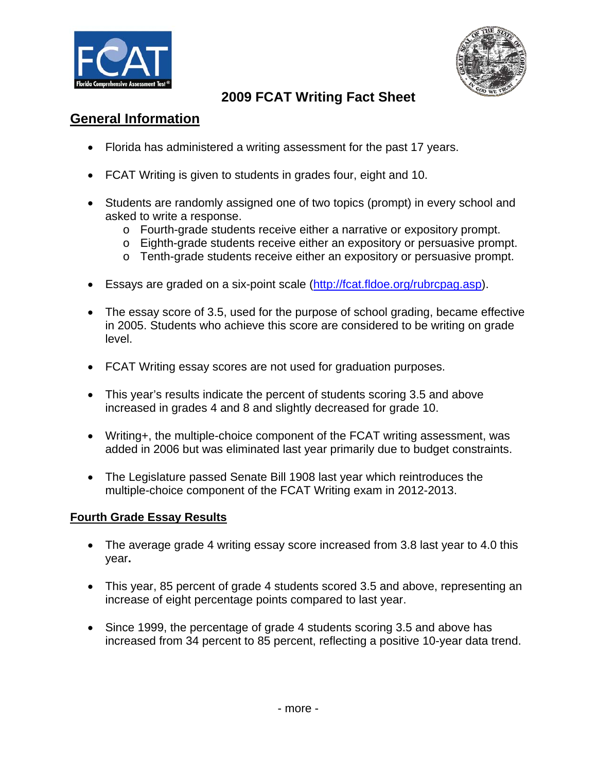



# **2009 FCAT Writing Fact Sheet**

## **General Information**

- Florida has administered a writing assessment for the past 17 years.
- FCAT Writing is given to students in grades four, eight and 10.
- Students are randomly assigned one of two topics (prompt) in every school and asked to write a response.
	- o Fourth-grade students receive either a narrative or expository prompt.
	- o Eighth-grade students receive either an expository or persuasive prompt.
	- o Tenth-grade students receive either an expository or persuasive prompt.
- Essays are graded on a six-point scale [\(http://fcat.fldoe.org/rubrcpag.asp](http://fcat.fldoe.org/rubrcpag.asp)).
- The essay score of 3.5, used for the purpose of school grading, became effective in 2005. Students who achieve this score are considered to be writing on grade level.
- FCAT Writing essay scores are not used for graduation purposes.
- This year's results indicate the percent of students scoring 3.5 and above increased in grades 4 and 8 and slightly decreased for grade 10.
- Writing+, the multiple-choice component of the FCAT writing assessment, was added in 2006 but was eliminated last year primarily due to budget constraints.
- The Legislature passed Senate Bill 1908 last year which reintroduces the multiple-choice component of the FCAT Writing exam in 2012-2013.

### **Fourth Grade Essay Results**

- The average grade 4 writing essay score increased from 3.8 last year to 4.0 this year**.**
- This year, 85 percent of grade 4 students scored 3.5 and above, representing an increase of eight percentage points compared to last year.
- Since 1999, the percentage of grade 4 students scoring 3.5 and above has increased from 34 percent to 85 percent, reflecting a positive 10-year data trend.